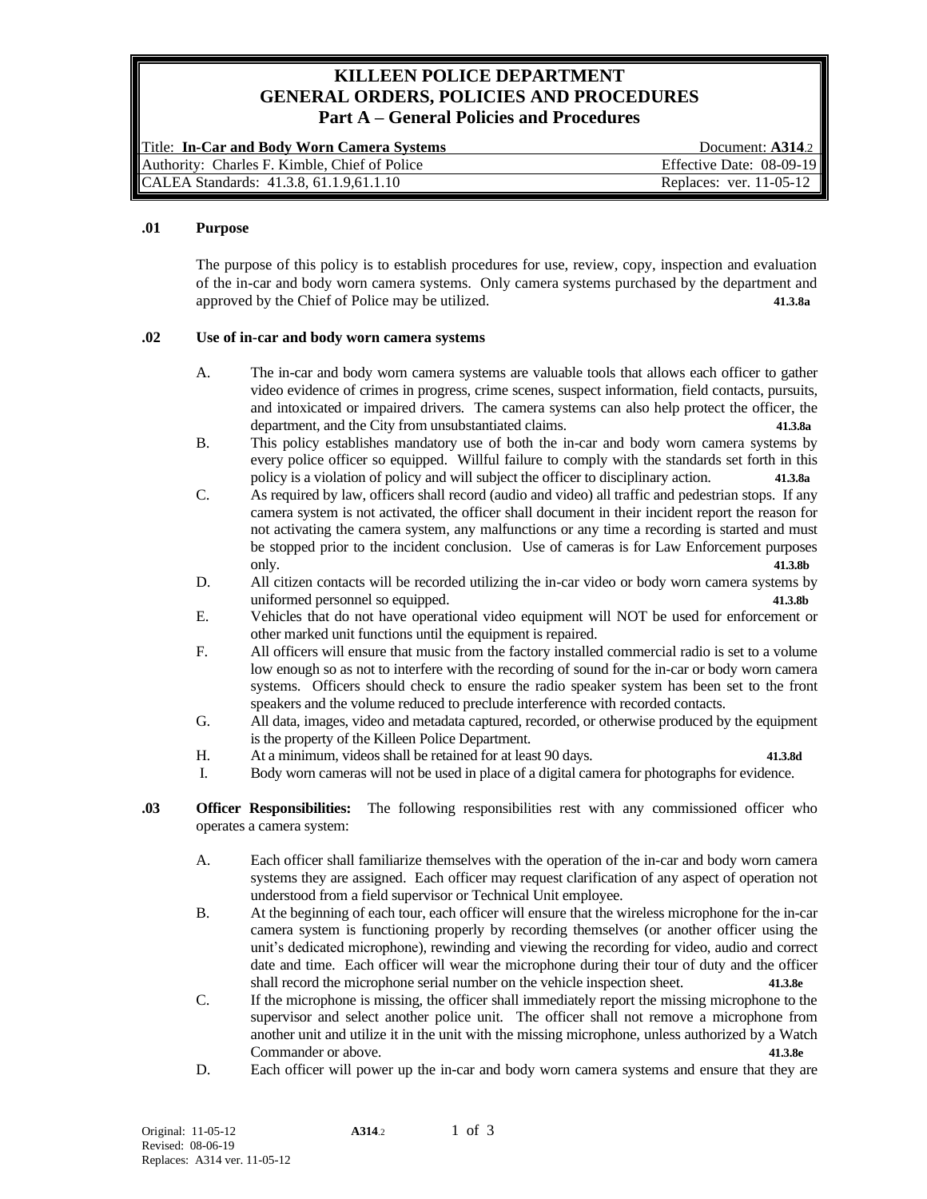# **KILLEEN POLICE DEPARTMENT GENERAL ORDERS, POLICIES AND PROCEDURES Part A – General Policies and Procedures**

| Title: In-Car and Body Worn Camera Systems    | Document: $A314.2$        |
|-----------------------------------------------|---------------------------|
| Authority: Charles F. Kimble, Chief of Police | Effective Date: 08-09-19  |
| CALEA Standards: 41.3.8, 61.1.9,61.1.10       | Replaces: ver. $11-05-12$ |

#### **.01 Purpose**

The purpose of this policy is to establish procedures for use, review, copy, inspection and evaluation of the in-car and body worn camera systems. Only camera systems purchased by the department and approved by the Chief of Police may be utilized. **41.3.8a**

## **.02 Use of in-car and body worn camera systems**

- A. The in-car and body worn camera systems are valuable tools that allows each officer to gather video evidence of crimes in progress, crime scenes, suspect information, field contacts, pursuits, and intoxicated or impaired drivers. The camera systems can also help protect the officer, the department, and the City from unsubstantiated claims. **41.3.8a**
- B. This policy establishes mandatory use of both the in-car and body worn camera systems by every police officer so equipped. Willful failure to comply with the standards set forth in this policy is a violation of policy and will subject the officer to disciplinary action. **41.3.8a**
- C. As required by law, officers shall record (audio and video) all traffic and pedestrian stops. If any camera system is not activated, the officer shall document in their incident report the reason for not activating the camera system, any malfunctions or any time a recording is started and must be stopped prior to the incident conclusion. Use of cameras is for Law Enforcement purposes only. **41.3.8b**
- D. All citizen contacts will be recorded utilizing the in-car video or body worn camera systems by uniformed personnel so equipped. **41.3.8b**
- E. Vehicles that do not have operational video equipment will NOT be used for enforcement or other marked unit functions until the equipment is repaired.
- F. All officers will ensure that music from the factory installed commercial radio is set to a volume low enough so as not to interfere with the recording of sound for the in-car or body worn camera systems. Officers should check to ensure the radio speaker system has been set to the front speakers and the volume reduced to preclude interference with recorded contacts.
- G. All data, images, video and metadata captured, recorded, or otherwise produced by the equipment is the property of the Killeen Police Department.
- H. At a minimum, videos shall be retained for at least 90 days. **41.3.8d**

- I. Body worn cameras will not be used in place of a digital camera for photographs for evidence.
- **.03 Officer Responsibilities:** The following responsibilities rest with any commissioned officer who operates a camera system:
	- A. Each officer shall familiarize themselves with the operation of the in-car and body worn camera systems they are assigned. Each officer may request clarification of any aspect of operation not understood from a field supervisor or Technical Unit employee.
	- B. At the beginning of each tour, each officer will ensure that the wireless microphone for the in-car camera system is functioning properly by recording themselves (or another officer using the unit's dedicated microphone), rewinding and viewing the recording for video, audio and correct date and time. Each officer will wear the microphone during their tour of duty and the officer shall record the microphone serial number on the vehicle inspection sheet. **41.3.8e**
	- C. If the microphone is missing, the officer shall immediately report the missing microphone to the supervisor and select another police unit. The officer shall not remove a microphone from another unit and utilize it in the unit with the missing microphone, unless authorized by a Watch Commander or above. **41.3.8e**
	- D. Each officer will power up the in-car and body worn camera systems and ensure that they are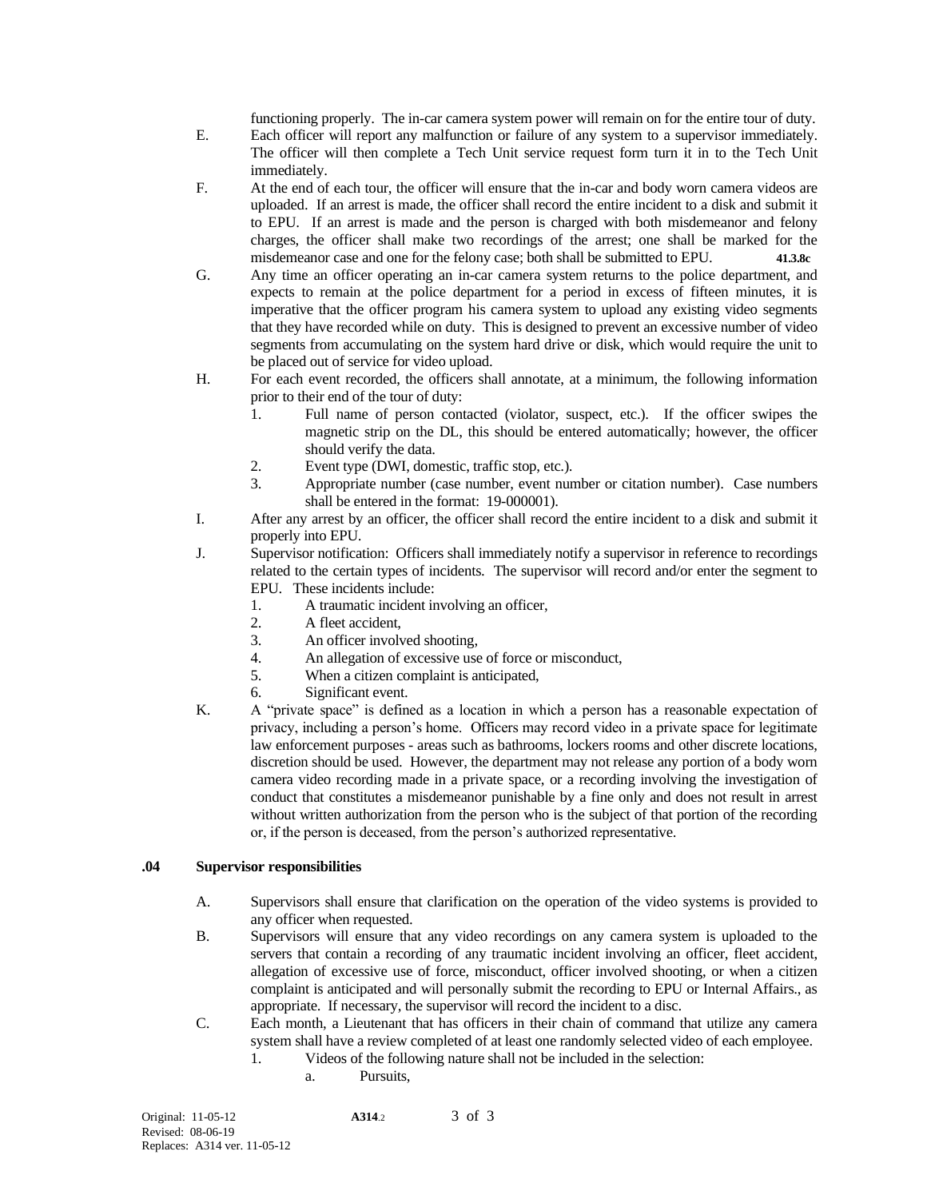functioning properly. The in-car camera system power will remain on for the entire tour of duty.

- E. Each officer will report any malfunction or failure of any system to a supervisor immediately. The officer will then complete a Tech Unit service request form turn it in to the Tech Unit immediately.
- F. At the end of each tour, the officer will ensure that the in-car and body worn camera videos are uploaded. If an arrest is made, the officer shall record the entire incident to a disk and submit it to EPU. If an arrest is made and the person is charged with both misdemeanor and felony charges, the officer shall make two recordings of the arrest; one shall be marked for the misdemeanor case and one for the felony case; both shall be submitted to EPU. **41.3.8c**
- G. Any time an officer operating an in-car camera system returns to the police department, and expects to remain at the police department for a period in excess of fifteen minutes, it is imperative that the officer program his camera system to upload any existing video segments that they have recorded while on duty. This is designed to prevent an excessive number of video segments from accumulating on the system hard drive or disk, which would require the unit to be placed out of service for video upload.
- H. For each event recorded, the officers shall annotate, at a minimum, the following information prior to their end of the tour of duty:
	- 1. Full name of person contacted (violator, suspect, etc.). If the officer swipes the magnetic strip on the DL, this should be entered automatically; however, the officer should verify the data.
	- 2. Event type (DWI, domestic, traffic stop, etc.).
	- 3. Appropriate number (case number, event number or citation number). Case numbers shall be entered in the format: 19-000001).
- I. After any arrest by an officer, the officer shall record the entire incident to a disk and submit it properly into EPU.
- J. Supervisor notification: Officers shall immediately notify a supervisor in reference to recordings related to the certain types of incidents. The supervisor will record and/or enter the segment to EPU. These incidents include:
	- 1. A traumatic incident involving an officer,
	- 2. A fleet accident,
	- 3. An officer involved shooting,
	- 4. An allegation of excessive use of force or misconduct,
	- 5. When a citizen complaint is anticipated,
	- 6. Significant event.
- K. A "private space" is defined as a location in which a person has a reasonable expectation of privacy, including a person's home. Officers may record video in a private space for legitimate law enforcement purposes - areas such as bathrooms, lockers rooms and other discrete locations, discretion should be used. However, the department may not release any portion of a body worn camera video recording made in a private space, or a recording involving the investigation of conduct that constitutes a misdemeanor punishable by a fine only and does not result in arrest without written authorization from the person who is the subject of that portion of the recording or, if the person is deceased, from the person's authorized representative.

#### **.04 Supervisor responsibilities**

- A. Supervisors shall ensure that clarification on the operation of the video systems is provided to any officer when requested.
- B. Supervisors will ensure that any video recordings on any camera system is uploaded to the servers that contain a recording of any traumatic incident involving an officer, fleet accident, allegation of excessive use of force, misconduct, officer involved shooting, or when a citizen complaint is anticipated and will personally submit the recording to EPU or Internal Affairs., as appropriate. If necessary, the supervisor will record the incident to a disc.
- C. Each month, a Lieutenant that has officers in their chain of command that utilize any camera system shall have a review completed of at least one randomly selected video of each employee.
	- 1. Videos of the following nature shall not be included in the selection:
		- a. Pursuits,